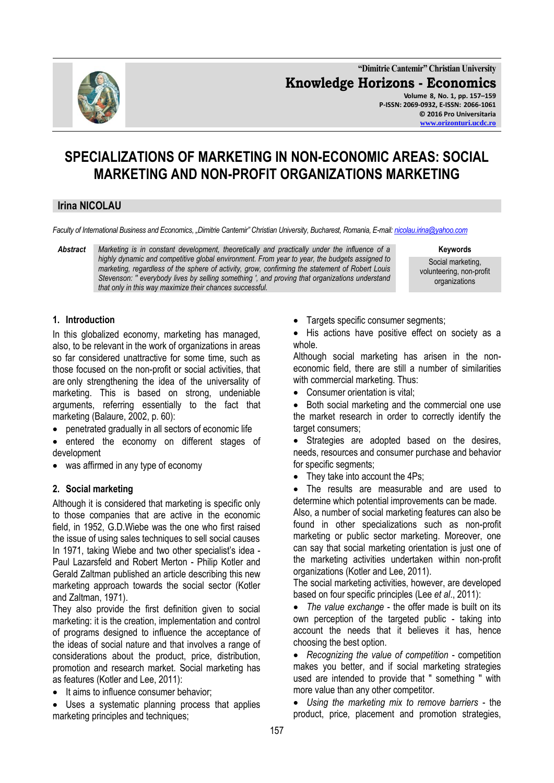

**"Dimitrie Cantemir" Christian University Knowledge Horizons - Economics Volume 8, No. 1, pp. 157–159 P-ISSN: 2069-0932, E-ISSN: 2066-1061 © 2016 Pro Universitaria [www.orizonturi.ucdc.ro](http://www.orizonturi.ucdc.ro/)**

# **SPECIALIZATIONS OF MARKETING IN NON-ECONOMIC AREAS: SOCIAL MARKETING AND NON-PROFIT ORGANIZATIONS MARKETING**

## **Irina NICOLAU**

*Faculty of International Business and Economics, "Dimitrie Cantemir" Christian University, Bucharest, Romania, E-mail[: nicolau.irina@yahoo.com](mailto:nicolau.irina@yahoo.com)*

*Abstract Marketing is in constant development, theoretically and practically under the influence of a highly dynamic and competitive global environment. From year to year, the budgets assigned to marketing, regardless of the sphere of activity, grow, confirming the statement of Robert Louis Stevenson: '' everybody lives by selling something ', and proving that organizations understand that only in this way maximize their chances successful.*

**Keywords**

Social marketing, volunteering, non-profit organizations

#### **1. Introduction**

In this globalized economy, marketing has managed, also, to be relevant in the work of organizations in areas so far considered unattractive for some time, such as those focused on the non-profit or social activities, that are only strengthening the idea of the universality of marketing. This is based on strong, undeniable arguments, referring essentially to the fact that marketing (Balaure, 2002, p. 60):

- penetrated gradually in all sectors of economic life
- entered the economy on different stages of development
- was affirmed in any type of economy

#### **2. Social marketing**

Although it is considered that marketing is specific only to those companies that are active in the economic field, in 1952, G.D.Wiebe was the one who first raised the issue of using sales techniques to sell social causes In 1971, taking Wiebe and two other specialist's idea - Paul Lazarsfeld and Robert Merton - Philip Kotler and Gerald Zaltman published an article describing this new marketing approach towards the social sector (Kotler and Zaltman, 1971).

They also provide the first definition given to social marketing: it is the creation, implementation and control of programs designed to influence the acceptance of the ideas of social nature and that involves a range of considerations about the product, price, distribution, promotion and research market. Social marketing has as features (Kotler and Lee, 2011):

• It aims to influence consumer behavior;

 Uses a systematic planning process that applies marketing principles and techniques;

- Targets specific consumer segments;
- His actions have positive effect on society as a whole.

Although social marketing has arisen in the noneconomic field, there are still a number of similarities with commercial marketing. Thus:

• Consumer orientation is vital;

 Both social marketing and the commercial one use the market research in order to correctly identify the target consumers;

• Strategies are adopted based on the desires, needs, resources and consumer purchase and behavior for specific segments;

• They take into account the 4Ps;

 The results are measurable and are used to determine which potential improvements can be made.

Also, a number of social marketing features can also be found in other specializations such as non-profit marketing or public sector marketing. Moreover, one can say that social marketing orientation is just one of the marketing activities undertaken within non-profit organizations (Kotler and Lee, 2011).

The social marketing activities, however, are developed based on four specific principles (Lee *et al*., 2011):

 *The value exchange* - the offer made is built on its own perception of the targeted public - taking into account the needs that it believes it has, hence choosing the best option.

 *Recognizing the value of competition* - competition makes you better, and if social marketing strategies used are intended to provide that '' something '' with more value than any other competitor.

 *Using the marketing mix to remove barriers* - the product, price, placement and promotion strategies,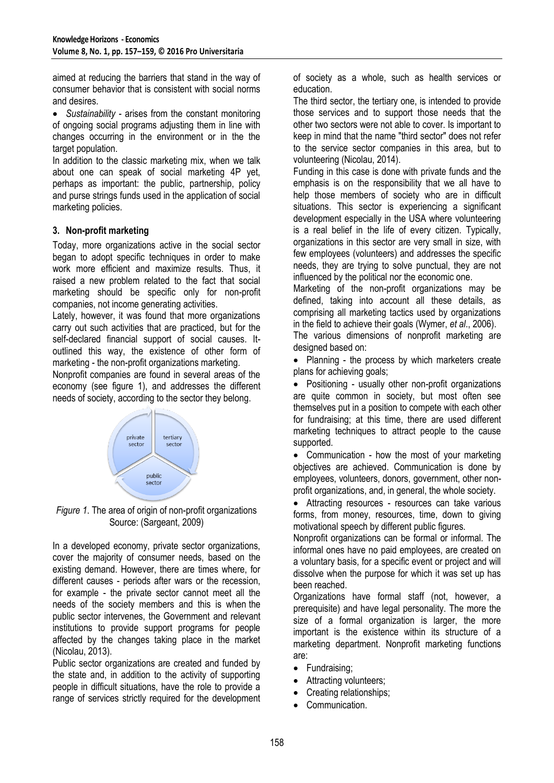aimed at reducing the barriers that stand in the way of consumer behavior that is consistent with social norms and desires.

 *Sustainability* - arises from the constant monitoring of ongoing social programs adjusting them in line with changes occurring in the environment or in the the target population.

In addition to the classic marketing mix, when we talk about one can speak of social marketing 4P yet, perhaps as important: the public, partnership, policy and purse strings funds used in the application of social marketing policies.

### **3. Non-profit marketing**

Today, more organizations active in the social sector began to adopt specific techniques in order to make work more efficient and maximize results. Thus, it raised a new problem related to the fact that social marketing should be specific only for non-profit companies, not income generating activities.

Lately, however, it was found that more organizations carry out such activities that are practiced, but for the self-declared financial support of social causes. Itoutlined this way, the existence of other form of marketing - the non-profit organizations marketing.

Nonprofit companies are found in several areas of the economy (see figure 1), and addresses the different needs of society, according to the sector they belong.



*Figure 1*. The area of origin of non-profit organizations Source: (Sargeant, 2009)

In a developed economy, private sector organizations, cover the majority of consumer needs, based on the existing demand. However, there are times where, for different causes - periods after wars or the recession, for example - the private sector cannot meet all the needs of the society members and this is when the public sector intervenes, the Government and relevant institutions to provide support programs for people affected by the changes taking place in the market (Nicolau, 2013).

Public sector organizations are created and funded by the state and, in addition to the activity of supporting people in difficult situations, have the role to provide a range of services strictly required for the development of society as a whole, such as health services or education.

The third sector, the tertiary one, is intended to provide those services and to support those needs that the other two sectors were not able to cover. Is important to keep in mind that the name "third sector" does not refer to the service sector companies in this area, but to volunteering (Nicolau, 2014).

Funding in this case is done with private funds and the emphasis is on the responsibility that we all have to help those members of society who are in difficult situations. This sector is experiencing a significant development especially in the USA where volunteering is a real belief in the life of every citizen. Typically, organizations in this sector are very small in size, with few employees (volunteers) and addresses the specific needs, they are trying to solve punctual, they are not influenced by the political nor the economic one.

Marketing of the non-profit organizations may be defined, taking into account all these details, as comprising all marketing tactics used by organizations in the field to achieve their goals (Wymer, *et al*., 2006).

The various dimensions of nonprofit marketing are designed based on:

 Planning - the process by which marketers create plans for achieving goals;

• Positioning - usually other non-profit organizations are quite common in society, but most often see themselves put in a position to compete with each other for fundraising; at this time, there are used different marketing techniques to attract people to the cause supported.

• Communication - how the most of your marketing objectives are achieved. Communication is done by employees, volunteers, donors, government, other nonprofit organizations, and, in general, the whole society.

 Attracting resources - resources can take various forms, from money, resources, time, down to giving motivational speech by different public figures.

Nonprofit organizations can be formal or informal. The informal ones have no paid employees, are created on a voluntary basis, for a specific event or project and will dissolve when the purpose for which it was set up has been reached.

Organizations have formal staff (not, however, a prerequisite) and have legal personality. The more the size of a formal organization is larger, the more important is the existence within its structure of a marketing department. Nonprofit marketing functions are:

- Fundraising:
- Attracting volunteers;
- Creating relationships;
- Communication.